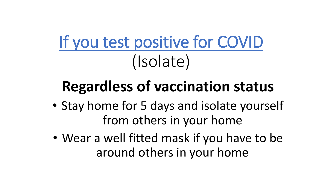If you test positive for COVID (Isolate)

#### **Regardless of vaccination status**

- Stay home for 5 days and isolate yourself from others in your home
- Wear a well fitted mask if you have to be around others in your home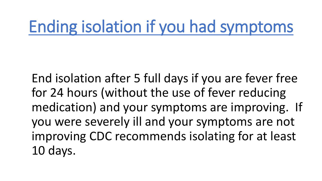## Ending isolation if you had symptoms

End isolation after 5 full days if you are fever free for 24 hours (without the use of fever reducing medication) and your symptoms are improving. If you were severely ill and your symptoms are not improving CDC recommends isolating for at least 10 days.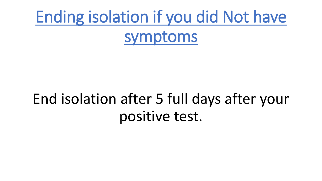# Ending isolation if you did Not have symptoms

#### End isolation after 5 full days after your positive test.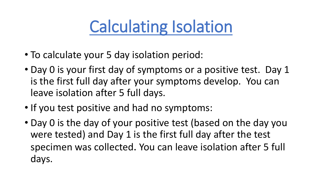## Calculating Isolation

- To calculate your 5 day isolation period:
- Day 0 is your first day of symptoms or a positive test. Day 1 is the first full day after your symptoms develop. You can leave isolation after 5 full days.
- If you test positive and had no symptoms:
- Day 0 is the day of your positive test (based on the day you were tested) and Day 1 is the first full day after the test specimen was collected. You can leave isolation after 5 full days.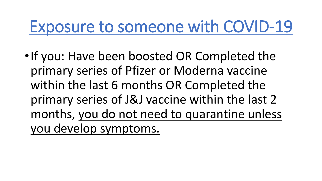### Exposure to someone with COVID-19

•If you: Have been boosted OR Completed the primary series of Pfizer or Moderna vaccine within the last 6 months OR Completed the primary series of J&J vaccine within the last 2 months, you do not need to quarantine unless you develop symptoms.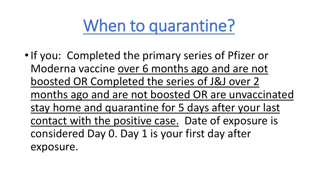### When to quarantine?

• If you: Completed the primary series of Pfizer or Moderna vaccine over 6 months ago and are not boosted OR Completed the series of J&J over 2 months ago and are not boosted OR are unvaccinated stay home and quarantine for 5 days after your last contact with the positive case. Date of exposure is considered Day 0. Day 1 is your first day after exposure.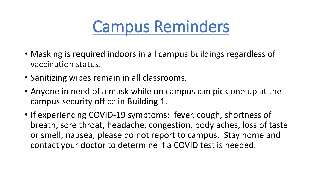

- Masking is required indoors in all campus buildings regardless of vaccination status.
- Sanitizing wipes remain in all classrooms.
- Anyone in need of a mask while on campus can pick one up at the campus security office in Building 1.
- If experiencing COVID-19 symptoms: fever, cough, shortness of breath, sore throat, headache, congestion, body aches, loss of taste or smell, nausea, please do not report to campus. Stay home and contact your doctor to determine if a COVID test is needed.